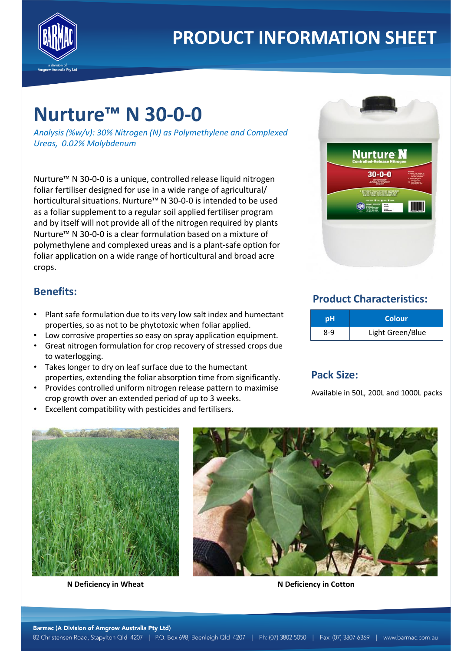

# **PRODUCT INFORMATION SHEET**

## **Nurture™ N 30-0-0**

*Analysis (%w/v): 30% Nitrogen (N) as Polymethylene and Complexed Ureas, 0.02% Molybdenum*

Nurture™ N 30-0-0 is a unique, controlled release liquid nitrogen foliar fertiliser designed for use in a wide range of agricultural/ horticultural situations. Nurture™ N 30-0-0 is intended to be used as a foliar supplement to a regular soil applied fertiliser program and by itself will not provide all of the nitrogen required by plants Nurture™ N 30-0-0 is a clear formulation based on a mixture of polymethylene and complexed ureas and is a plant-safe option for foliar application on a wide range of horticultural and broad acre crops.



#### **Benefits:**

- Plant safe formulation due to its very low salt index and humectant properties, so as not to be phytotoxic when foliar applied.
- Low corrosive properties so easy on spray application equipment.
- Great nitrogen formulation for crop recovery of stressed crops due to waterlogging.
- Takes longer to dry on leaf surface due to the humectant properties, extending the foliar absorption time from significantly.
- Provides controlled uniform nitrogen release pattern to maximise crop growth over an extended period of up to 3 weeks.
- Excellent compatibility with pesticides and fertilisers.

### **Product Characteristics:**

| рH  | <b>Colour</b>    |
|-----|------------------|
| 8-9 | Light Green/Blue |

#### **Pack Size:**

Available in 50L, 200L and 1000L packs



**N Deficiency in Wheat N Deficiency in Cotton**